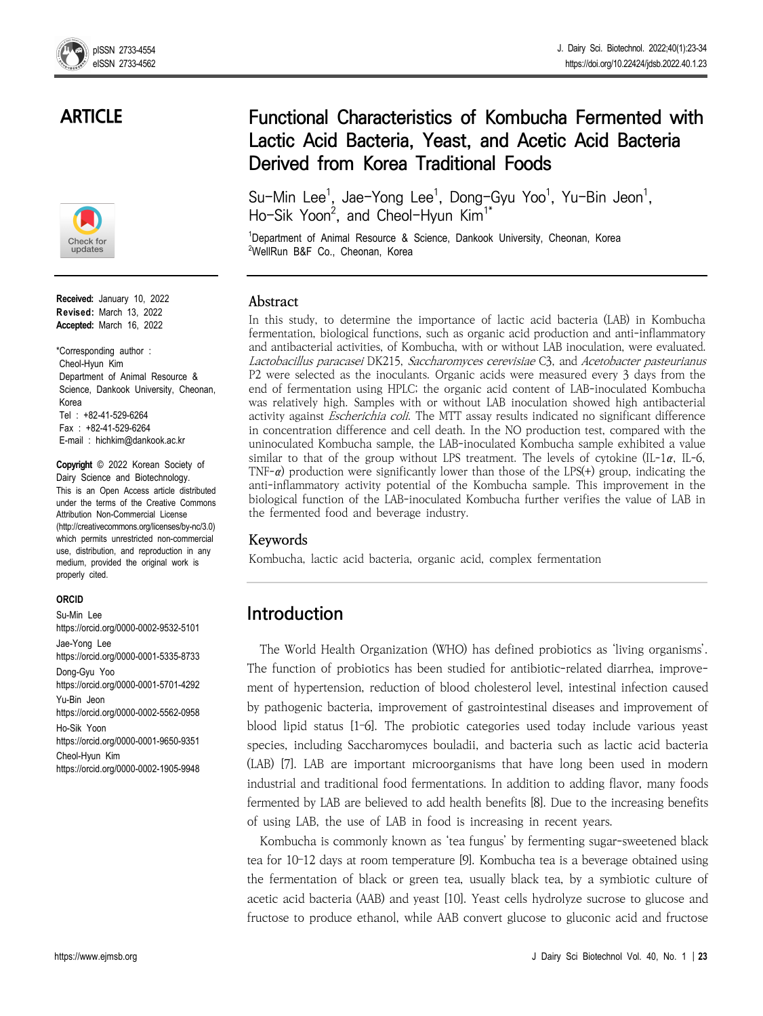## **ARTICLE**



**Received:** January 10, 2022 **Revised:** March 13, 2022 **Accepted:** March 16, 2022

\*Corresponding author : Cheol-Hyun Kim Department of Animal Resource & Science, Dankook University, Cheonan, Korea Tel : +82-41-529-6264 Fax : +82-41-529-6264 E-mail : hichkim@dankook.ac.kr

**Copyright** © 2022 Korean Society of Dairy Science and Biotechnology. This is an Open Access article distributed under the terms of the Creative Commons Attribution Non-Commercial License (http://creativecommons.org/licenses/by-nc/3.0) which permits unrestricted non-commercial use, distribution, and reproduction in any medium, provided the original work is properly cited.

#### **ORCID**

Su-Min Lee https://orcid.org/0000-0002-9532-5101 Jae-Yong Lee https://orcid.org/0000-0001-5335-8733 Dong-Gyu Yoo https://orcid.org/0000-0001-5701-4292 Yu-Bin Jeon https://orcid.org/0000-0002-5562-0958 Ho-Sik Yoon https://orcid.org/0000-0001-9650-9351 Cheol-Hyun Kim https://orcid.org/0000-0002-1905-9948

# **Functional Characteristics of Kombucha Fermented with Lactic Acid Bacteria, Yeast, and Acetic Acid Bacteria Derived from Korea Traditional Foods**

Su-Min Lee<sup>1</sup>, Jae-Yong Lee<sup>1</sup>, Dong-Gyu Yoo<sup>1</sup>, Yu-Bin Jeon<sup>1</sup>,<br>Ho-Sik Yoon<sup>2</sup>, and Cheol-Hyun Kim<sup>1\*</sup> Ho-Sik Yoon<sup>2</sup>, and Cheol-Hyun Kim<sup>1\*</sup>

<sup>1</sup>Department of Animal Resource & Science, Dankook University, Cheonan, Korea <sup>2</sup>WellRun B&F Co., Cheonan, Korea

### **Abstract**

In this study, to determine the importance of lactic acid bacteria (LAB) in Kombucha fermentation, biological functions, such as organic acid production and anti-inflammatory and antibacterial activities, of Kombucha, with or without LAB inoculation, were evaluated. Lactobacillus paracasei DK215, Saccharomyces cerevisiae C3, and Acetobacter pasteurianus P2 were selected as the inoculants. Organic acids were measured every 3 days from the end of fermentation using HPLC; the organic acid content of LAB-inoculated Kombucha was relatively high. Samples with or without LAB inoculation showed high antibacterial activity against Escherichia coli. The MTT assay results indicated no significant difference in concentration difference and cell death. In the NO production test, compared with the uninoculated Kombucha sample, the LAB-inoculated Kombucha sample exhibited a value similar to that of the group without LPS treatment. The levels of cytokine  $(II-1\alpha, IL-6,$ TNF- $\alpha$ ) production were significantly lower than those of the LPS(+) group, indicating the anti-inflammatory activity potential of the Kombucha sample. This improvement in the biological function of the LAB-inoculated Kombucha further verifies the value of LAB in the fermented food and beverage industry.

### **Keywords**

Kombucha, lactic acid bacteria, organic acid, complex fermentation

## **Introduction**

The World Health Organization (WHO) has defined probiotics as 'living organisms'. The function of probiotics has been studied for antibiotic-related diarrhea, improve ment of hypertension, reduction of blood cholesterol level, intestinal infection caused by pathogenic bacteria, improvement of gastrointestinal diseases and improvement of blood lipid status [1–6]. The probiotic categories used today include various yeast species, including Saccharomyces bouladii, and bacteria such as lactic acid bacteria (LAB) [7]. LAB are important microorganisms that have long been used in modern industrial and traditional food fermentations. In addition to adding flavor, many foods fermented by LAB are believed to add health benefits [8]. Due to the increasing benefits of using LAB, the use of LAB in food is increasing in recent years.

Kombucha is commonly known as 'tea fungus' by fermenting sugar-sweetened black tea for 10–12 days at room temperature [9]. Kombucha tea is a beverage obtained using the fermentation of black or green tea, usually black tea, by a symbiotic culture of acetic acid bacteria (AAB) and yeast [10]. Yeast cells hydrolyze sucrose to glucose and fructose to produce ethanol, while AAB convert glucose to gluconic acid and fructose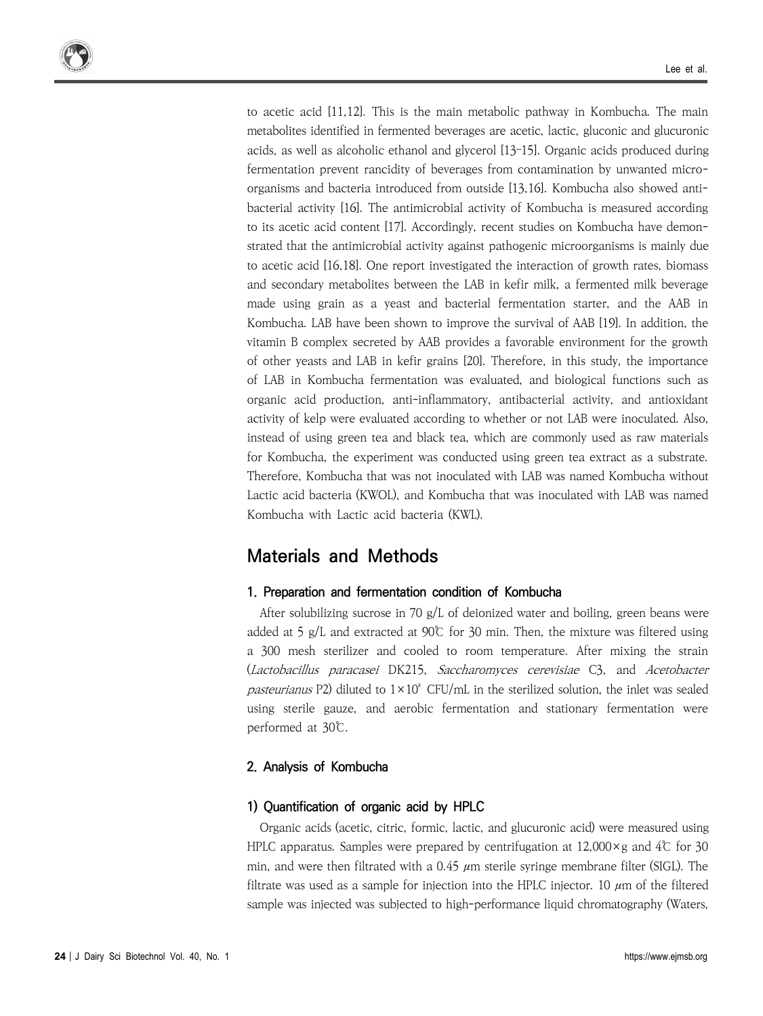to acetic acid [11,12]. This is the main metabolic pathway in Kombucha. The main metabolites identified in fermented beverages are acetic, lactic, gluconic and glucuronic acids, as well as alcoholic ethanol and glycerol [13–15]. Organic acids produced during fermentation prevent rancidity of beverages from contamination by unwanted micro organisms and bacteria introduced from outside [13,16]. Kombucha also showed anti bacterial activity [16]. The antimicrobial activity of Kombucha is measured according to its acetic acid content [17]. Accordingly, recent studies on Kombucha have demonstrated that the antimicrobial activity against pathogenic microorganisms is mainly due to acetic acid [16,18]. One report investigated the interaction of growth rates, biomass and secondary metabolites between the LAB in kefir milk, a fermented milk beverage made using grain as a yeast and bacterial fermentation starter, and the AAB in Kombucha. LAB have been shown to improve the survival of AAB [19]. In addition, the vitamin B complex secreted by AAB provides a favorable environment for the growth of other yeasts and LAB in kefir grains [20]. Therefore, in this study, the importance of LAB in Kombucha fermentation was evaluated, and biological functions such as organic acid production, anti-inflammatory, antibacterial activity, and antioxidant activity of kelp were evaluated according to whether or not LAB were inoculated. Also, instead of using green tea and black tea, which are commonly used as raw materials for Kombucha, the experiment was conducted using green tea extract as a substrate. Therefore, Kombucha that was not inoculated with LAB was named Kombucha without Lactic acid bacteria (KWOL), and Kombucha that was inoculated with LAB was named Kombucha with Lactic acid bacteria (KWL).

## **Materials and Methods**

### **1. Preparation and fermentation condition of Kombucha**

After solubilizing sucrose in 70 g/L of deionized water and boiling, green beans were added at 5  $g/L$  and extracted at 90°C for 30 min. Then, the mixture was filtered using a 300 mesh sterilizer and cooled to room temperature. After mixing the strain (Lactobacillus paracasei DK215, Saccharomyces cerevisiae C3, and Acetobacter pasteurianus P2) diluted to  $1 \times 10^3$  CFU/mL in the sterilized solution, the inlet was sealed using sterile gauze, and aerobic fermentation and stationary fermentation were performed at 30℃.

### **2. Analysis of Kombucha**

### **1) Quantification of organic acid by HPLC**

Organic acids (acetic, citric, formic, lactic, and glucuronic acid) were measured using HPLC apparatus. Samples were prepared by centrifugation at  $12,000 \times g$  and  $4\degree$  for 30 min, and were then filtrated with a  $0.45 \mu m$  sterile syringe membrane filter (SIGL). The filtrate was used as a sample for injection into the HPLC injector. 10  $\mu$ m of the filtered sample was injected was subjected to high-performance liquid chromatography (Waters,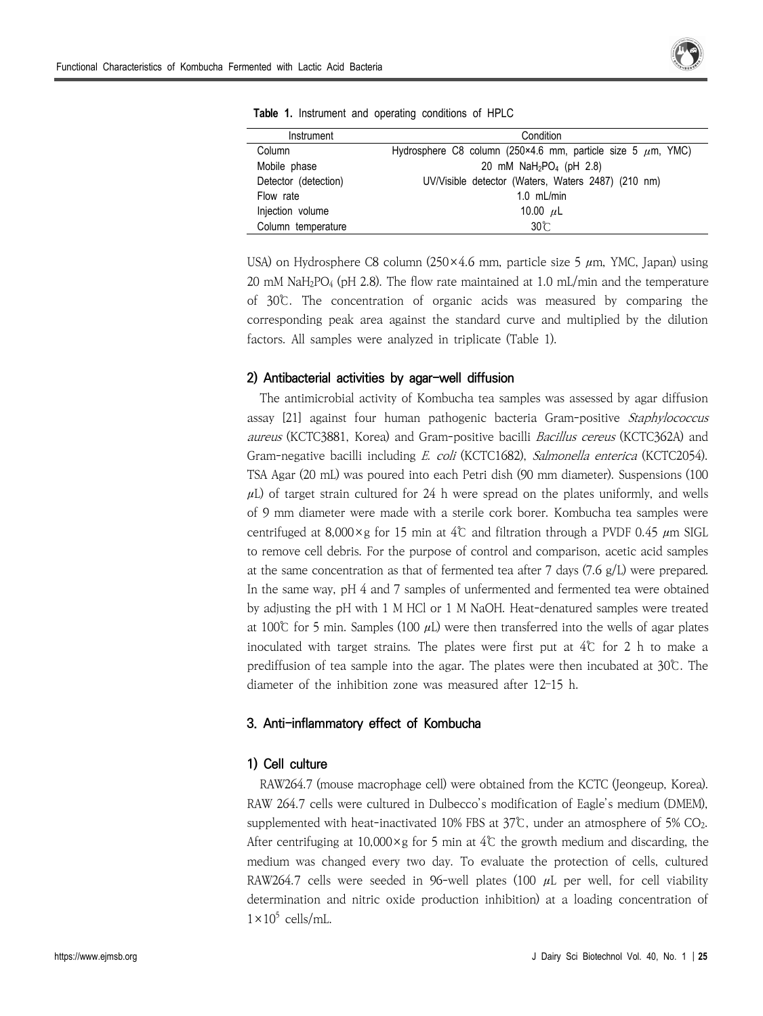

| Instrument           | Condition                                                        |
|----------------------|------------------------------------------------------------------|
| Column               | Hydrosphere C8 column (250×4.6 mm, particle size 5 $\mu$ m, YMC) |
| Mobile phase         | 20 mM $NaH_2PO_4$ (pH 2.8)                                       |
| Detector (detection) | UV/Visible detector (Waters, Waters 2487) (210 nm)               |
| Flow rate            | $1.0$ mL/min                                                     |
| Injection volume     | 10.00 $\mu$ L                                                    |
| Column temperature   | $30^\circ$                                                       |

|--|

USA) on Hydrosphere C8 column (250×4.6 mm, particle size 5  $\mu$ m, YMC, Japan) using 20 mM NaH2PO<sup>4</sup> (pH 2.8). The flow rate maintained at 1.0 mL/min and the temperature of 30℃. The concentration of organic acids was measured by comparing the corresponding peak area against the standard curve and multiplied by the dilution factors. All samples were analyzed in triplicate (Table 1).

#### **2) Antibacterial activities by agar-well diffusion**

The antimicrobial activity of Kombucha tea samples was assessed by agar diffusion assay [21] against four human pathogenic bacteria Gram-positive Staphylococcus aureus (KCTC3881, Korea) and Gram-positive bacilli Bacillus cereus (KCTC362A) and Gram-negative bacilli including E. coli (KCTC1682), Salmonella enterica (KCTC2054). TSA Agar (20 mL) was poured into each Petri dish (90 mm diameter). Suspensions (100  $\mu$ L) of target strain cultured for 24 h were spread on the plates uniformly, and wells of 9 mm diameter were made with a sterile cork borer. Kombucha tea samples were centrifuged at 8,000×g for 15 min at 4℃ and filtration through a PVDF 0.45  $\mu$ m SIGL to remove cell debris. For the purpose of control and comparison, acetic acid samples at the same concentration as that of fermented tea after 7 days  $(7.6 \text{ g/L})$  were prepared. In the same way, pH 4 and 7 samples of unfermented and fermented tea were obtained by adjusting the pH with 1 M HCl or 1 M NaOH. Heat-denatured samples were treated at 100℃ for 5 min. Samples (100 μL) were then transferred into the wells of agar plates inoculated with target strains. The plates were first put at  $4\degree$  for 2 h to make a prediffusion of tea sample into the agar. The plates were then incubated at 30℃. The diameter of the inhibition zone was measured after 12–15 h.

#### **3. Anti-inflammatory effect of Kombucha**

#### **1) Cell culture**

RAW264.7 (mouse macrophage cell) were obtained from the KCTC (Jeongeup, Korea). RAW 264.7 cells were cultured in Dulbecco's modification of Eagle's medium (DMEM), supplemented with heat-inactivated 10% FBS at 37℃, under an atmosphere of 5% CO<sub>2</sub>.<br>After centrifuging at 10,000×g for 5 min at 4℃ the growth medium and discarding, the medium was changed every two day. To evaluate the protection of cells, cultured RAW264.7 cells were seeded in 96-well plates (100  $\mu$ L per well, for cell viability determination and nitric oxide production inhibition) at a loading concentration of  $1\times10^5$  cells/mL.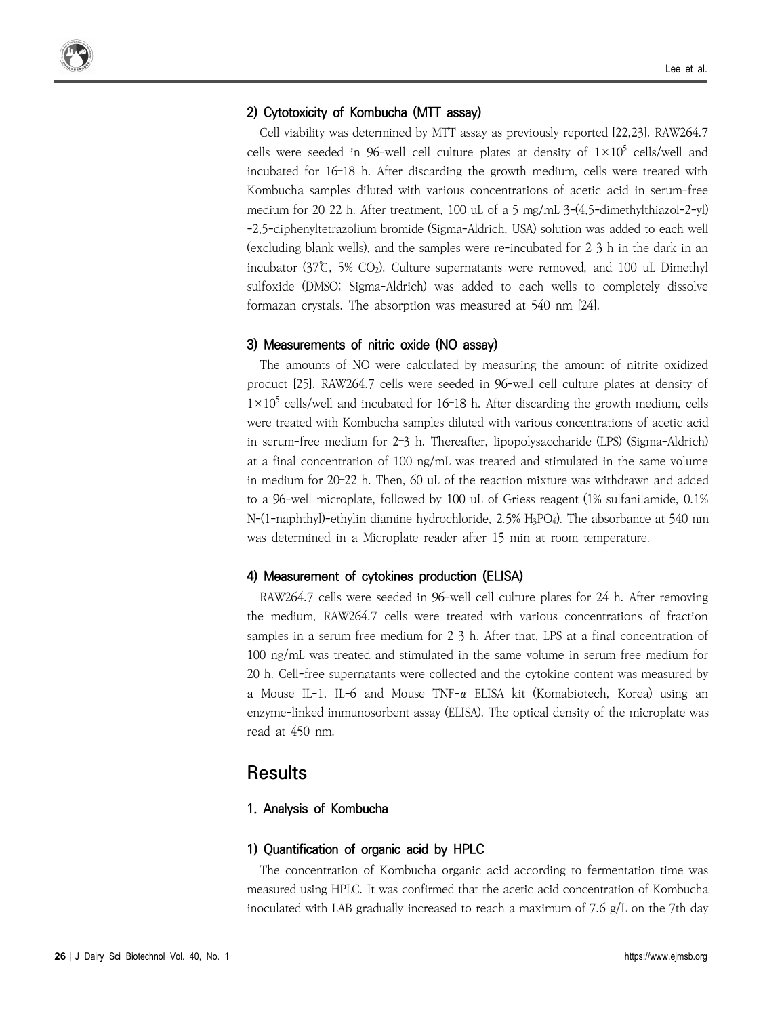#### **2) Cytotoxicity of Kombucha (MTT assay)**

Cell viability was determined by MTT assay as previously reported [22,23]. RAW264.7 cells were seeded in 96-well cell culture plates at density of  $1 \times 10^5$  cells/well and incubated for 16–18 h. After discarding the growth medium, cells were treated with Kombucha samples diluted with various concentrations of acetic acid in serum-free medium for 20–22 h. After treatment, 100 uL of a 5 mg/mL 3-(4,5-dimethylthiazol-2-yl) -2,5-diphenyltetrazolium bromide (Sigma-Aldrich, USA) solution was added to each well (excluding blank wells), and the samples were re-incubated for 2–3 h in the dark in an incubator (37℃, 5% CO2). Culture supernatants were removed, and 100 uL Dimethyl sulfoxide (DMSO; Sigma-Aldrich) was added to each wells to completely dissolve formazan crystals. The absorption was measured at 540 nm [24].

#### **3) Measurements of nitric oxide (NO assay)**

The amounts of NO were calculated by measuring the amount of nitrite oxidized product [25]. RAW264.7 cells were seeded in 96-well cell culture plates at density of  $1\times10^5$  cells/well and incubated for 16–18 h. After discarding the growth medium, cells were treated with Kombucha samples diluted with various concentrations of acetic acid in serum-free medium for 2–3 h. Thereafter, lipopolysaccharide (LPS) (Sigma-Aldrich) at a final concentration of 100 ng/mL was treated and stimulated in the same volume in medium for 20–22 h. Then, 60 uL of the reaction mixture was withdrawn and added to a 96-well microplate, followed by 100 uL of Griess reagent (1% sulfanilamide, 0.1% N-(1-naphthyl)-ethylin diamine hydrochloride, 2.5% H3PO4). The absorbance at 540 nm was determined in a Microplate reader after 15 min at room temperature.

#### **4) Measurement of cytokines production (ELISA)**

RAW264.7 cells were seeded in 96-well cell culture plates for 24 h. After removing the medium, RAW264.7 cells were treated with various concentrations of fraction samples in a serum free medium for 2-3 h. After that, LPS at a final concentration of 100 ng/mL was treated and stimulated in the same volume in serum free medium for 20 h. Cell-free supernatants were collected and the cytokine content was measured by a Mouse IL-1, IL-6 and Mouse TNF- $\alpha$  ELISA kit (Komabiotech, Korea) using an enzyme-linked immunosorbent assay (ELISA). The optical density of the microplate was read at 450 nm.

## **Results**

#### **1. Analysis of Kombucha**

#### **1) Quantification of organic acid by HPLC**

The concentration of Kombucha organic acid according to fermentation time was measured using HPLC. It was confirmed that the acetic acid concentration of Kombucha inoculated with LAB gradually increased to reach a maximum of 7.6 g/L on the 7th day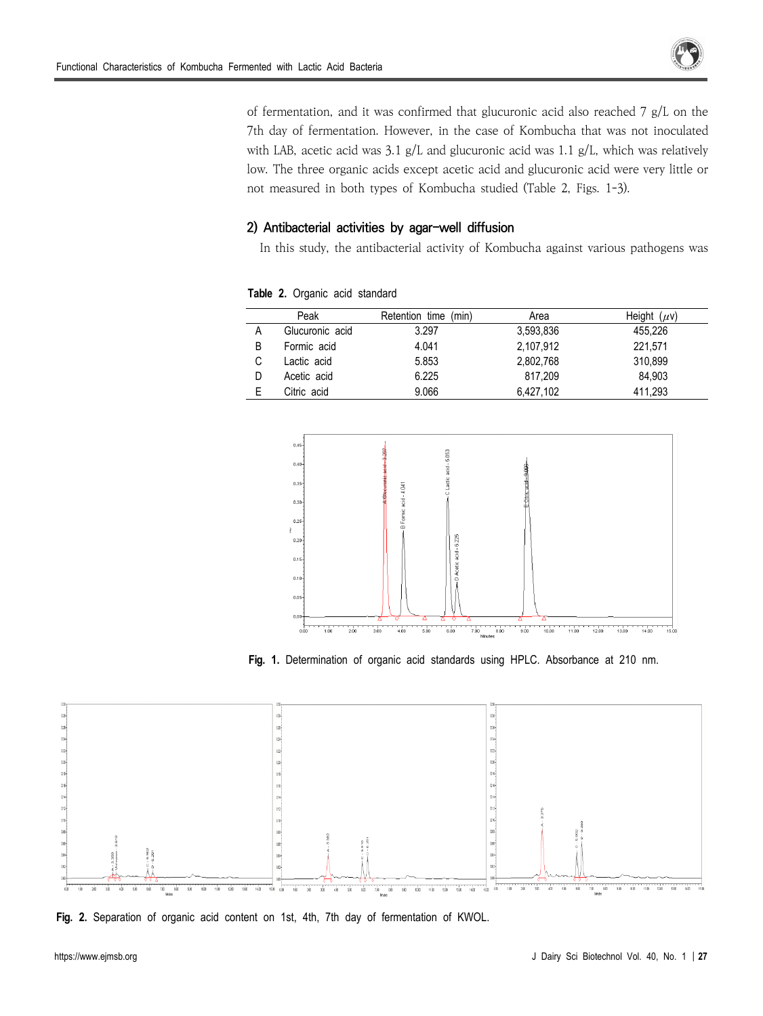

of fermentation, and it was confirmed that glucuronic acid also reached 7 g/L on the 7th day of fermentation. However, in the case of Kombucha that was not inoculated with LAB, acetic acid was 3.1 g/L and glucuronic acid was 1.1 g/L, which was relatively low. The three organic acids except acetic acid and glucuronic acid were very little or not measured in both types of Kombucha studied (Table 2, Figs. 1-3).

### **2) Antibacterial activities by agar-well diffusion**

In this study, the antibacterial activity of Kombucha against various pathogens was

|   | Peak            | Retention time (min) | Area      | Height $(\mu v)$ |
|---|-----------------|----------------------|-----------|------------------|
| Α | Glucuronic acid | 3.297                | 3,593,836 | 455.226          |
| B | Formic acid     | 4.041                | 2.107.912 | 221.571          |
| С | Lactic acid     | 5.853                | 2,802,768 | 310.899          |
| D | Acetic acid     | 6.225                | 817.209   | 84.903           |
|   | Citric acid     | 9.066                | 6.427.102 | 411.293          |

**Table 2.** Organic acid standard



**Fig. 1.** Determination of organic acid standards using HPLC. Absorbance at 210 nm.



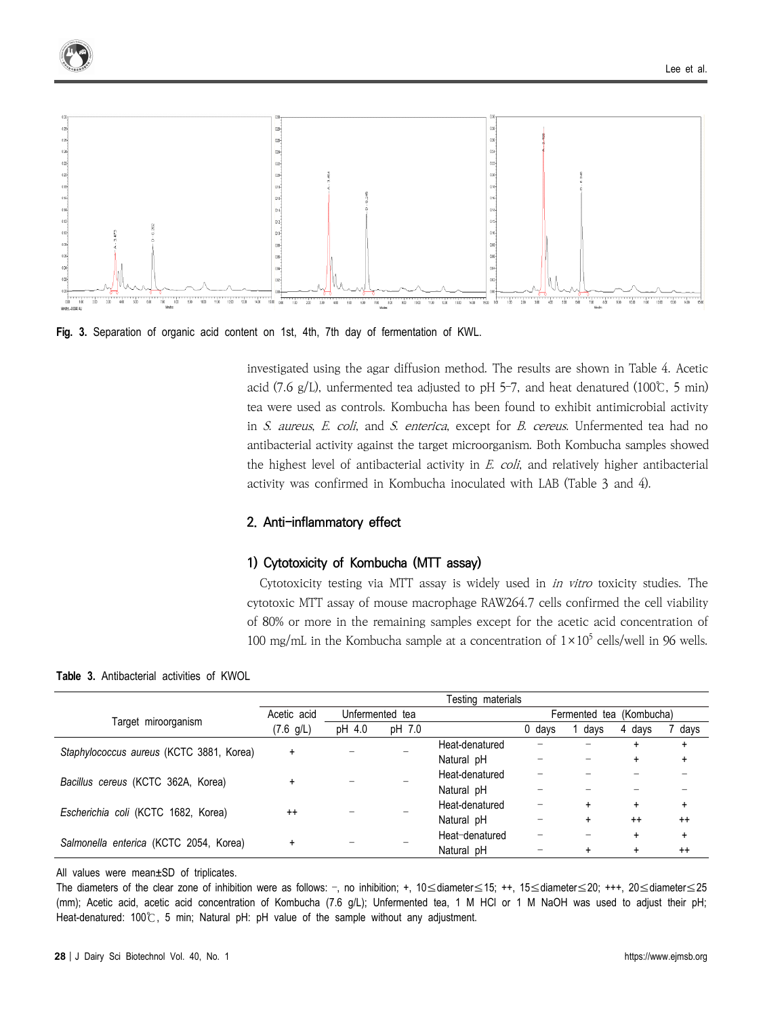

**Fig. 3.** Separation of organic acid content on 1st, 4th, 7th day of fermentation of KWL.

investigated using the agar diffusion method. The results are shown in Table 4. Acetic acid (7.6 g/L), unfermented tea adjusted to pH 5-7, and heat denatured (100°C, 5 min) tea were used as controls. Kombucha has been found to exhibit antimicrobial activity in S. aureus, E. coli, and S. enterica, except for B. cereus. Unfermented tea had no antibacterial activity against the target microorganism. Both Kombucha samples showed the highest level of antibacterial activity in  $E.$  coli, and relatively higher antibacterial activity was confirmed in Kombucha inoculated with LAB (Table 3 and 4).

#### **2. Anti-inflammatory effect**

#### **1) Cytotoxicity of Kombucha (MTT assay)**

Cytotoxicity testing via MTT assay is widely used in in vitro toxicity studies. The cytotoxic MTT assay of mouse macrophage RAW264.7 cells confirmed the cell viability of 80% or more in the remaining samples except for the acetic acid concentration of 100 mg/mL in the Kombucha sample at a concentration of  $1 \times 10^5$  cells/well in 96 wells.

**Table 3.** Antibacterial activities of KWOL

|                                          | Testing materials |                 |        |                |                          |      |           |           |
|------------------------------------------|-------------------|-----------------|--------|----------------|--------------------------|------|-----------|-----------|
|                                          | Acetic acid       | Unfermented tea |        |                | Fermented tea (Kombucha) |      |           |           |
| Target miroorganism                      | (7.6 g/L)         | pH 4.0          | pH 7.0 |                | 0 days                   | days | 4 days    | days      |
| Staphylococcus aureus (KCTC 3881, Korea) | $\ddot{}$         |                 |        | Heat-denatured |                          |      |           | ÷         |
|                                          |                   |                 |        | Natural pH     |                          |      |           | +         |
| Bacillus cereus (KCTC 362A, Korea)       | $\ddot{}$         |                 |        | Heat-denatured |                          |      |           |           |
|                                          |                   |                 |        | Natural pH     |                          |      |           |           |
| Escherichia coli (KCTC 1682, Korea)      | $++$              |                 |        | Heat-denatured |                          | ÷    | $\ddot{}$ | $\ddot{}$ |
|                                          |                   |                 |        | Natural pH     |                          | ÷    | $++$      | $++$      |
| Salmonella enterica (KCTC 2054, Korea)   | +                 |                 |        | Heat-denatured |                          |      | $\ddot{}$ | $\ddot{}$ |
|                                          |                   |                 |        | Natural pH     |                          |      |           | $^{++}$   |

All values were mean±SD of triplicates.

The diameters of the clear zone of inhibition were as follows: –, no inhibition; +, 10≤diameter≤15; ++, 15≤diameter≤20; +++, 20≤diameter≤25 (mm); Acetic acid, acetic acid concentration of Kombucha (7.6 g/L); Unfermented tea, 1 M HCl or 1 M NaOH was used to adjust their pH; Heat-denatured: 100℃, 5 min; Natural pH: pH value of the sample without any adjustment.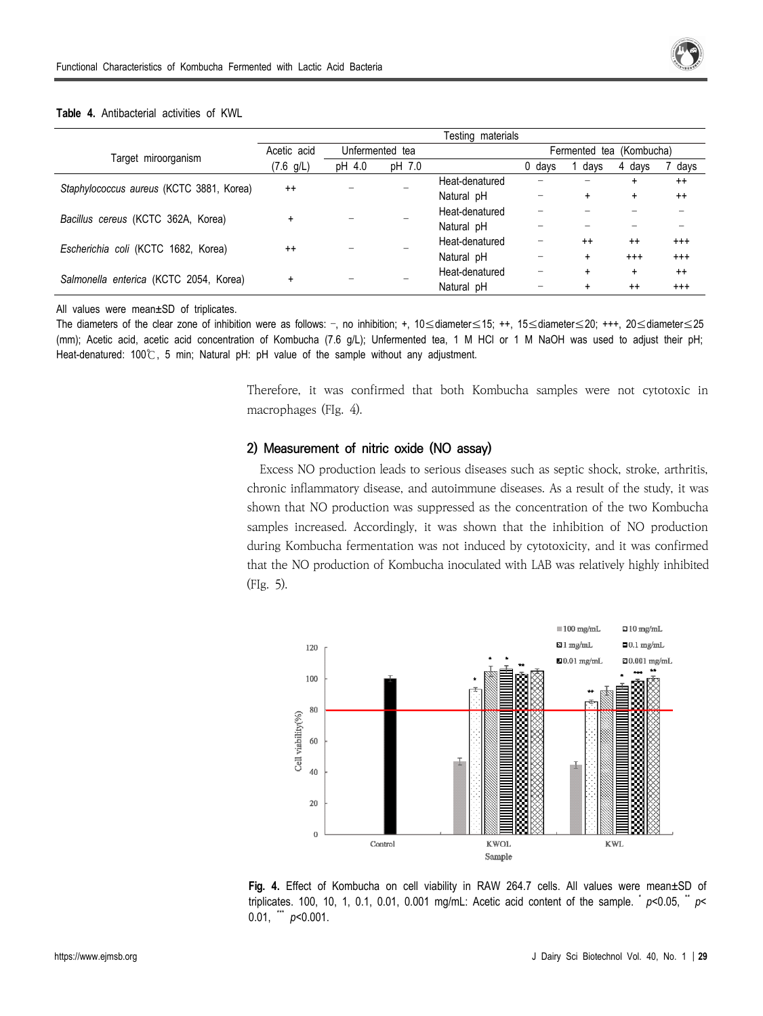

#### **Table 4.** Antibacterial activities of KWL

|                                          |             |                 |        | Testing materials |                          |           |            |          |  |
|------------------------------------------|-------------|-----------------|--------|-------------------|--------------------------|-----------|------------|----------|--|
|                                          | Acetic acid | Unfermented tea |        |                   | Fermented tea (Kombucha) |           |            |          |  |
| Target miroorganism                      | (7.6 g/L)   | pH 4.0          | pH 7.0 |                   | 0 days                   | days      | 4 days     | days     |  |
| Staphylococcus aureus (KCTC 3881, Korea) | $^{++}$     |                 |        | Heat-denatured    | -                        |           |            | $^{++}$  |  |
|                                          |             |                 |        | Natural pH        |                          | $\div$    | ÷          | $^{++}$  |  |
| Bacillus cereus (KCTC 362A, Korea)       |             |                 |        | Heat-denatured    |                          |           |            |          |  |
|                                          |             |                 |        | Natural pH        |                          |           |            |          |  |
| Escherichia coli (KCTC 1682, Korea)      | $++$        |                 |        | Heat-denatured    |                          | $^{++}$   | $^{++}$    | $^{+++}$ |  |
|                                          |             |                 |        | Natural pH        |                          | $\ddot{}$ | $^{+ + +}$ | $^{+++}$ |  |
| Salmonella enterica (KCTC 2054, Korea)   | $\ddot{}$   |                 |        | Heat-denatured    | -                        | $\ddot{}$ | ÷          | $^{++}$  |  |
|                                          |             |                 |        | Natural pH        |                          |           | $^{++}$    | $^{++}$  |  |

All values were mean±SD of triplicates.

The diameters of the clear zone of inhibition were as follows: –, no inhibition; +, 10≤diameter≤15; ++, 15≤diameter≤20; +++, 20≤diameter≤25 (mm); Acetic acid, acetic acid concentration of Kombucha (7.6 g/L); Unfermented tea, 1 M HCl or 1 M NaOH was used to adjust their pH; Heat-denatured: 100℃, 5 min; Natural pH: pH value of the sample without any adjustment.

> Therefore, it was confirmed that both Kombucha samples were not cytotoxic in macrophages (FIg. 4).

#### **2) Measurement of nitric oxide (NO assay)**

Excess NO production leads to serious diseases such as septic shock, stroke, arthritis, chronic inflammatory disease, and autoimmune diseases. As a result of the study, it was shown that NO production was suppressed as the concentration of the two Kombucha samples increased. Accordingly, it was shown that the inhibition of NO production during Kombucha fermentation was not induced by cytotoxicity, and it was confirmed that the NO production of Kombucha inoculated with LAB was relatively highly inhibited (FIg. 5).



**Fig. 4.** Effect of Kombucha on cell viability in RAW 264.7 cells. All values were mean±SD of triplicates. 100, 10, 1, 0.1, 0.01, 0.001 mg/mL: Acetic acid content of the sample.  $\check{p}$   $\sim$  0.05,  $\check{p}$   $\sim$ 0.01, \*\*\* *p*<0.001.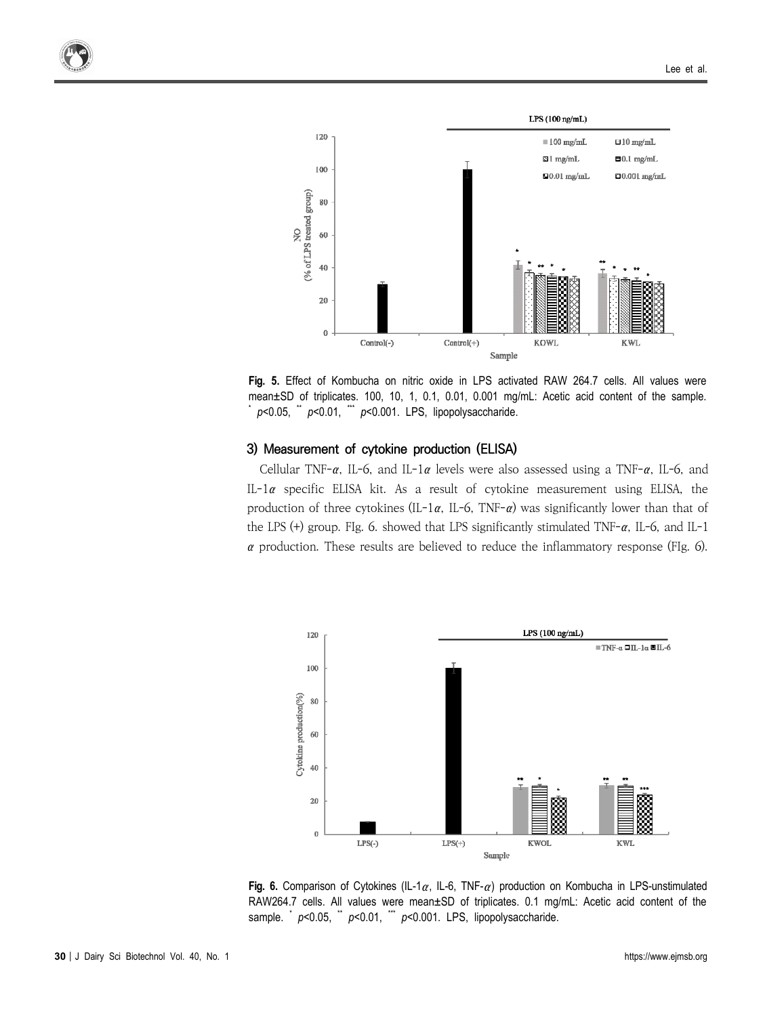

**Fig. 5.** Effect of Kombucha on nitric oxide in LPS activated RAW 264.7 cells. All values were mean $\pm$ SD of triplicates. 100, 10, 1, 0.1, 0.01, 0.001 mg/mL: Acetic acid content of the sample. \* *p*<0.05, \*\* *p*<0.01, \*\*\* *p*<0.001. LPS, lipopolysaccharide.

#### **3) Measurement of cytokine production (ELISA)**

Cellular TNF- $\alpha$ , IL-6, and IL-1 $\alpha$  levels were also assessed using a TNF- $\alpha$ , IL-6, and IL-1α specific ELISA kit. As a result of cytokine measurement using ELISA, the production of three cytokines (IL-1 $\alpha$ , IL-6, TNF- $\alpha$ ) was significantly lower than that of the LPS (+) group. FIg. 6. showed that LPS significantly stimulated TNF-α, IL-6, and IL-1  $\alpha$  production. These results are believed to reduce the inflammatory response (FIg. 6).



**Fig. 6.** Comparison of Cytokines (IL-1α, IL-6, TNF-α) production on Kombucha in LPS-unstimulated RAW264.7 cells. All values were mean±SD of triplicates. 0.1 mg/mL: Acetic acid content of the sample. \*  $p$ <0.05, \*  $p$ <0.01, \*\*  $p$ <0.001. LPS, lipopolysaccharide.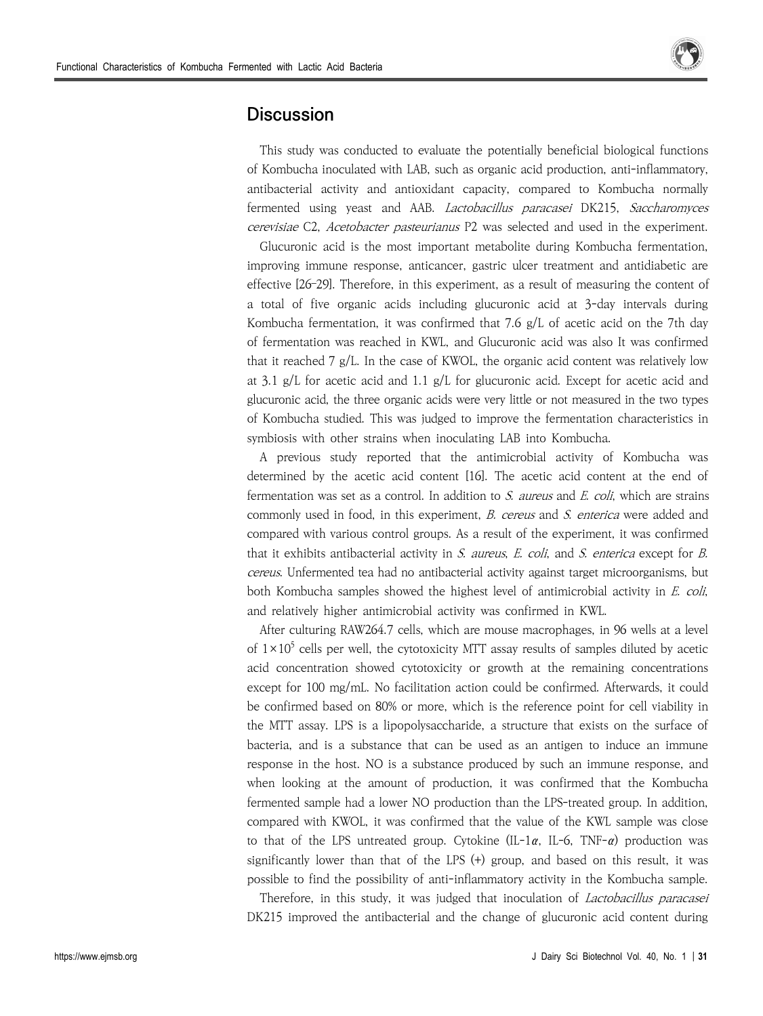

## **Discussion**

This study was conducted to evaluate the potentially beneficial biological functions of Kombucha inoculated with LAB, such as organic acid production, anti-inflammatory, antibacterial activity and antioxidant capacity, compared to Kombucha normally fermented using yeast and AAB. Lactobacillus paracasei DK215, Saccharomyces cerevisiae C2, Acetobacter pasteurianus P2 was selected and used in the experiment.

Glucuronic acid is the most important metabolite during Kombucha fermentation, improving immune response, anticancer, gastric ulcer treatment and antidiabetic are effective [26–29]. Therefore, in this experiment, as a result of measuring the content of a total of five organic acids including glucuronic acid at 3-day intervals during Kombucha fermentation, it was confirmed that 7.6  $g/L$  of acetic acid on the 7th day of fermentation was reached in KWL, and Glucuronic acid was also It was confirmed that it reached 7 g/L. In the case of KWOL, the organic acid content was relatively low at 3.1 g/L for acetic acid and 1.1 g/L for glucuronic acid. Except for acetic acid and glucuronic acid, the three organic acids were very little or not measured in the two types of Kombucha studied. This was judged to improve the fermentation characteristics in symbiosis with other strains when inoculating LAB into Kombucha.

A previous study reported that the antimicrobial activity of Kombucha was determined by the acetic acid content [16]. The acetic acid content at the end of fermentation was set as a control. In addition to *S. aureus* and  $E$ . coli, which are strains commonly used in food, in this experiment, B. cereus and S. enterica were added and compared with various control groups. As a result of the experiment, it was confirmed that it exhibits antibacterial activity in S. aureus, E. coli, and S. enterica except for B. cereus. Unfermented tea had no antibacterial activity against target microorganisms, but both Kombucha samples showed the highest level of antimicrobial activity in *E. coli*, and relatively higher antimicrobial activity was confirmed in KWL.

After culturing RAW264.7 cells, which are mouse macrophages, in 96 wells at a level of  $1\times10^5$  cells per well, the cytotoxicity MTT assay results of samples diluted by acetic acid concentration showed cytotoxicity or growth at the remaining concentrations except for 100 mg/mL. No facilitation action could be confirmed. Afterwards, it could be confirmed based on 80% or more, which is the reference point for cell viability in the MTT assay. LPS is a lipopolysaccharide, a structure that exists on the surface of bacteria, and is a substance that can be used as an antigen to induce an immune response in the host. NO is a substance produced by such an immune response, and when looking at the amount of production, it was confirmed that the Kombucha fermented sample had a lower NO production than the LPS-treated group. In addition, compared with KWOL, it was confirmed that the value of the KWL sample was close to that of the LPS untreated group. Cytokine  $(IL-1\alpha, IL-6, TNF-\alpha)$  production was significantly lower than that of the LPS (+) group, and based on this result, it was possible to find the possibility of anti-inflammatory activity in the Kombucha sample.

Therefore, in this study, it was judged that inoculation of *Lactobacillus paracasei* DK215 improved the antibacterial and the change of glucuronic acid content during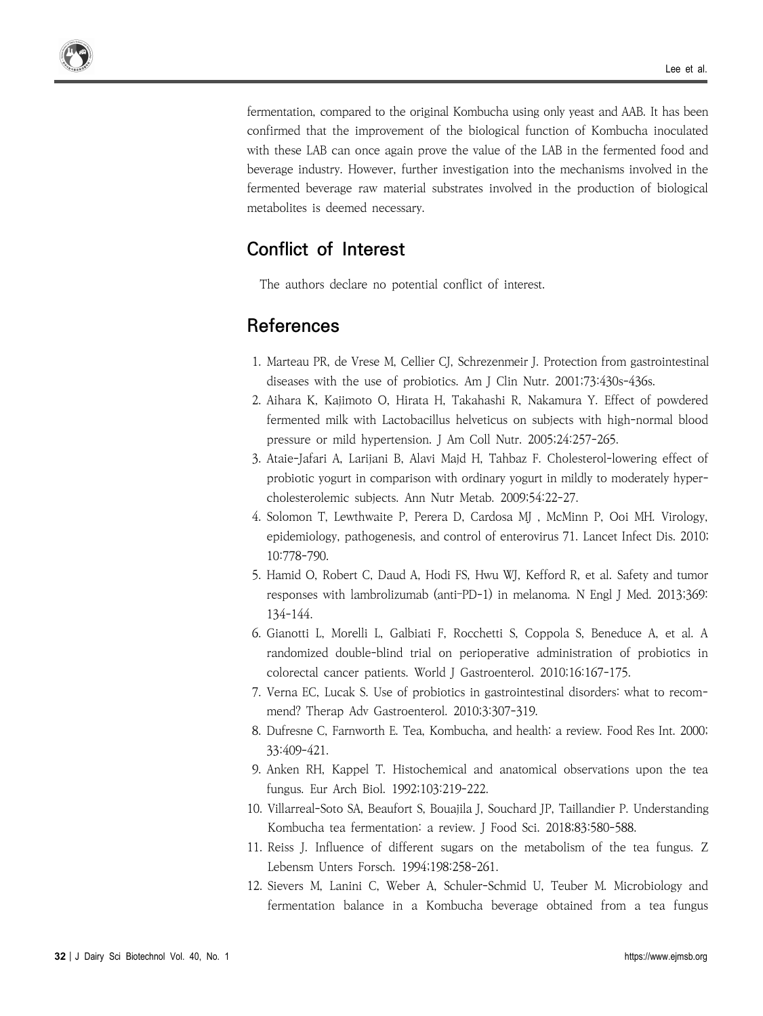fermentation, compared to the original Kombucha using only yeast and AAB. It has been confirmed that the improvement of the biological function of Kombucha inoculated with these LAB can once again prove the value of the LAB in the fermented food and beverage industry. However, further investigation into the mechanisms involved in the fermented beverage raw material substrates involved in the production of biological metabolites is deemed necessary.

## **Conflict of Interest**

The authors declare no potential conflict of interest.

## **References**

- 1. Marteau PR, de Vrese M, Cellier CJ, Schrezenmeir J. Protection from gastrointestinal diseases with the use of probiotics. Am J Clin Nutr. 2001;73:430s-436s.
- 2. Aihara K, Kajimoto O, Hirata H, Takahashi R, Nakamura Y. Effect of powdered fermented milk with Lactobacillus helveticus on subjects with high-normal blood pressure or mild hypertension. J Am Coll Nutr. 2005;24:257-265.
- 3. Ataie-Jafari A, Larijani B, Alavi Majd H, Tahbaz F. Cholesterol-lowering effect of probiotic yogurt in comparison with ordinary yogurt in mildly to moderately hyper cholesterolemic subjects. Ann Nutr Metab. 2009;54:22-27.
- 4. Solomon T, Lewthwaite P, Perera D, Cardosa MJ , McMinn P, Ooi MH. Virology, epidemiology, pathogenesis, and control of enterovirus 71. Lancet Infect Dis. 2010; 10:778-790.
- 5. Hamid O, Robert C, Daud A, Hodi FS, Hwu WJ, Kefford R, et al. Safety and tumor responses with lambrolizumab (anti–PD-1) in melanoma. N Engl J Med. 2013;369: 134-144.
- 6. Gianotti L, Morelli L, Galbiati F, Rocchetti S, Coppola S, Beneduce A, et al. A randomized double-blind trial on perioperative administration of probiotics in colorectal cancer patients. World J Gastroenterol. 2010;16:167-175.
- 7. Verna EC, Lucak S. Use of probiotics in gastrointestinal disorders: what to recom mend? Therap Adv Gastroenterol. 2010;3:307-319.
- 8. Dufresne C, Farnworth E. Tea, Kombucha, and health: a review. Food Res Int. 2000; 33:409-421.
- 9. Anken RH, Kappel T. Histochemical and anatomical observations upon the tea fungus. Eur Arch Biol. 1992;103:219-222.
- 10. Villarreal-Soto SA, Beaufort S, Bouajila J, Souchard JP, Taillandier P. Understanding Kombucha tea fermentation: a review. J Food Sci. 2018;83:580-588.
- 11. Reiss J. Influence of different sugars on the metabolism of the tea fungus. Z Lebensm Unters Forsch. 1994;198:258-261.
- 12. Sievers M, Lanini C, Weber A, Schuler-Schmid U, Teuber M. Microbiology and fermentation balance in a Kombucha beverage obtained from a tea fungus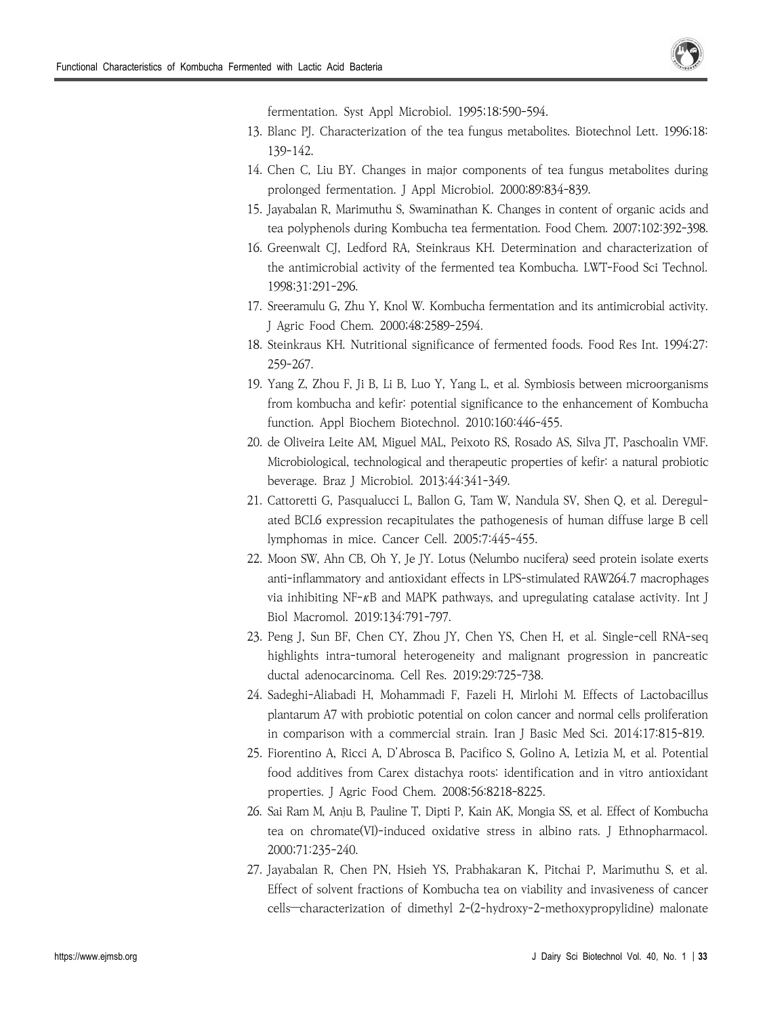

fermentation. Syst Appl Microbiol. 1995;18:590-594.

- 13. Blanc PJ. Characterization of the tea fungus metabolites. Biotechnol Lett. 1996;18: 139-142.
- 14. Chen C, Liu BY. Changes in major components of tea fungus metabolites during prolonged fermentation. J Appl Microbiol. 2000;89:834-839.
- 15. Jayabalan R, Marimuthu S, Swaminathan K. Changes in content of organic acids and tea polyphenols during Kombucha tea fermentation. Food Chem. 2007;102:392-398.
- 16. Greenwalt CJ, Ledford RA, Steinkraus KH. Determination and characterization of the antimicrobial activity of the fermented tea Kombucha. LWT-Food Sci Technol. 1998;31:291-296.
- 17. Sreeramulu G, Zhu Y, Knol W. Kombucha fermentation and its antimicrobial activity. J Agric Food Chem. 2000;48:2589-2594.
- 18. Steinkraus KH. Nutritional significance of fermented foods. Food Res Int. 1994;27: 259-267.
- 19. Yang Z, Zhou F, Ji B, Li B, Luo Y, Yang L, et al. Symbiosis between microorganisms from kombucha and kefir: potential significance to the enhancement of Kombucha function. Appl Biochem Biotechnol. 2010;160:446-455.
- 20. de Oliveira Leite AM, Miguel MAL, Peixoto RS, Rosado AS, Silva JT, Paschoalin VMF. Microbiological, technological and therapeutic properties of kefir: a natural probiotic beverage. Braz J Microbiol. 2013;44:341-349.
- 21. Cattoretti G, Pasqualucci L, Ballon G, Tam W, Nandula SV, Shen Q, et al. Deregul ated BCL6 expression recapitulates the pathogenesis of human diffuse large B cell lymphomas in mice. Cancer Cell. 2005;7:445-455.
- 22. Moon SW, Ahn CB, Oh Y, Je JY. Lotus (Nelumbo nucifera) seed protein isolate exerts anti-inflammatory and antioxidant effects in LPS-stimulated RAW264.7 macrophages via inhibiting  $NF-\kappa B$  and MAPK pathways, and upregulating catalase activity. Int J Biol Macromol. 2019;134:791-797.
- 23. Peng J, Sun BF, Chen CY, Zhou JY, Chen YS, Chen H, et al. Single-cell RNA-seq highlights intra-tumoral heterogeneity and malignant progression in pancreatic ductal adenocarcinoma. Cell Res. 2019;29:725-738.
- 24. Sadeghi-Aliabadi H, Mohammadi F, Fazeli H, Mirlohi M. Effects of Lactobacillus plantarum A7 with probiotic potential on colon cancer and normal cells proliferation in comparison with a commercial strain. Iran J Basic Med Sci. 2014;17:815-819.
- 25. Fiorentino A, Ricci A, D'Abrosca B, Pacifico S, Golino A, Letizia M, et al. Potential food additives from Carex distachya roots: identification and in vitro antioxidant properties. J Agric Food Chem. 2008;56:8218-8225.
- 26. Sai Ram M, Anju B, Pauline T, Dipti P, Kain AK, Mongia SS, et al. Effect of Kombucha tea on chromate(VI)-induced oxidative stress in albino rats. J Ethnopharmacol. 2000;71:235-240.
- 27. Jayabalan R, Chen PN, Hsieh YS, Prabhakaran K, Pitchai P, Marimuthu S, et al. Effect of solvent fractions of Kombucha tea on viability and invasiveness of cancer cells—characterization of dimethyl 2-(2-hydroxy-2-methoxypropylidine) malonate